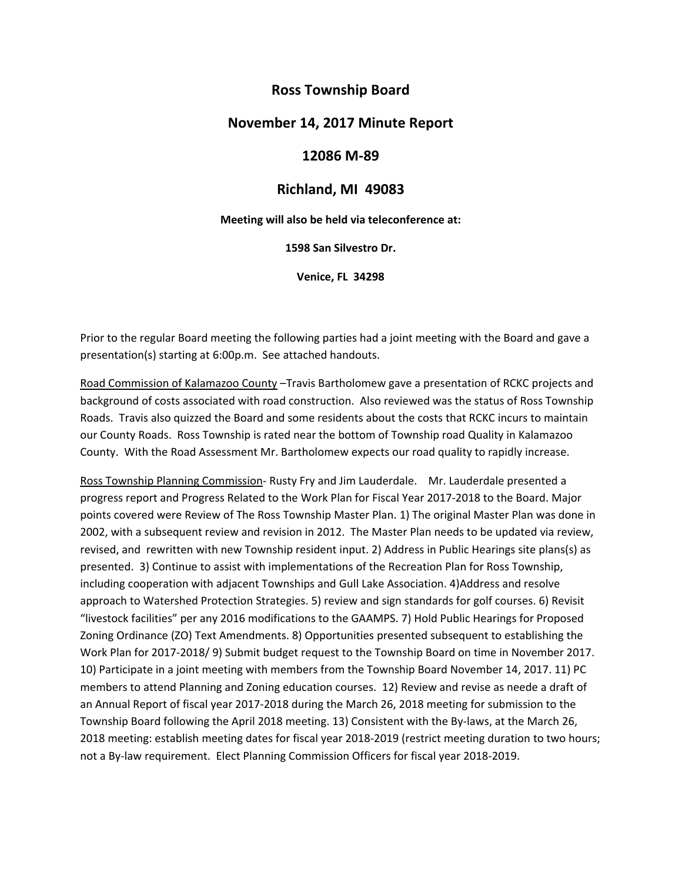# **Ross Township Board**

### **November 14, 2017 Minute Report**

### **12086 M‐89**

## **Richland, MI 49083**

**Meeting will also be held via teleconference at:**

**1598 San Silvestro Dr.**

**Venice, FL 34298**

Prior to the regular Board meeting the following parties had a joint meeting with the Board and gave a presentation(s) starting at 6:00p.m. See attached handouts.

Road Commission of Kalamazoo County –Travis Bartholomew gave a presentation of RCKC projects and background of costs associated with road construction. Also reviewed was the status of Ross Township Roads. Travis also quizzed the Board and some residents about the costs that RCKC incurs to maintain our County Roads. Ross Township is rated near the bottom of Township road Quality in Kalamazoo County. With the Road Assessment Mr. Bartholomew expects our road quality to rapidly increase.

Ross Township Planning Commission‐ Rusty Fry and Jim Lauderdale. Mr. Lauderdale presented a progress report and Progress Related to the Work Plan for Fiscal Year 2017‐2018 to the Board. Major points covered were Review of The Ross Township Master Plan. 1) The original Master Plan was done in 2002, with a subsequent review and revision in 2012. The Master Plan needs to be updated via review, revised, and rewritten with new Township resident input. 2) Address in Public Hearings site plans(s) as presented. 3) Continue to assist with implementations of the Recreation Plan for Ross Township, including cooperation with adjacent Townships and Gull Lake Association. 4)Address and resolve approach to Watershed Protection Strategies. 5) review and sign standards for golf courses. 6) Revisit "livestock facilities" per any 2016 modifications to the GAAMPS. 7) Hold Public Hearings for Proposed Zoning Ordinance (ZO) Text Amendments. 8) Opportunities presented subsequent to establishing the Work Plan for 2017-2018/ 9) Submit budget request to the Township Board on time in November 2017. 10) Participate in a joint meeting with members from the Township Board November 14, 2017. 11) PC members to attend Planning and Zoning education courses. 12) Review and revise as neede a draft of an Annual Report of fiscal year 2017‐2018 during the March 26, 2018 meeting for submission to the Township Board following the April 2018 meeting. 13) Consistent with the By-laws, at the March 26, 2018 meeting: establish meeting dates for fiscal year 2018‐2019 (restrict meeting duration to two hours; not a By‐law requirement. Elect Planning Commission Officers for fiscal year 2018‐2019.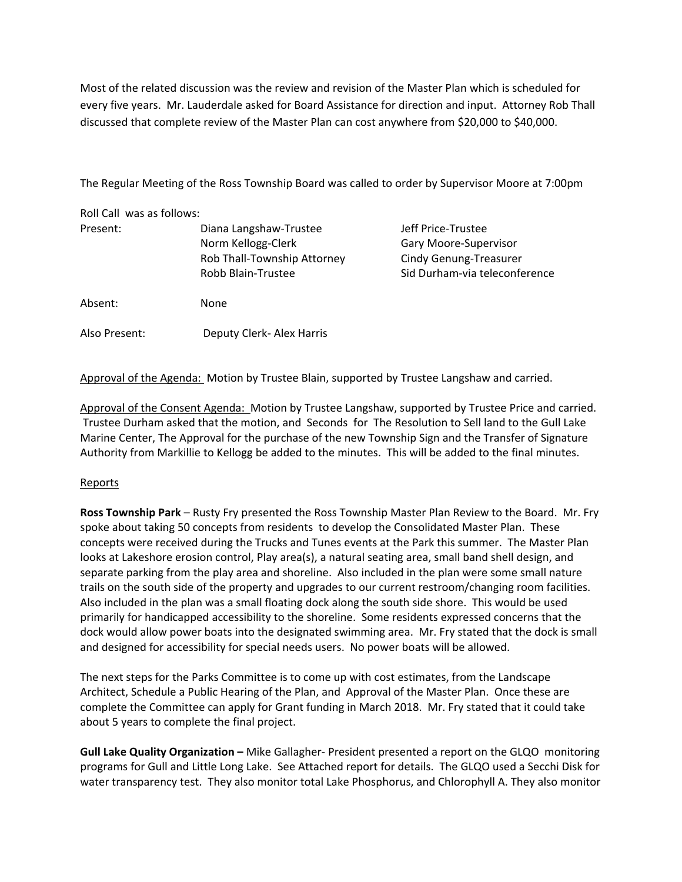Most of the related discussion was the review and revision of the Master Plan which is scheduled for every five years. Mr. Lauderdale asked for Board Assistance for direction and input. Attorney Rob Thall discussed that complete review of the Master Plan can cost anywhere from \$20,000 to \$40,000.

The Regular Meeting of the Ross Township Board was called to order by Supervisor Moore at 7:00pm

| Roll Call was as follows: |                                                   |                                                                |
|---------------------------|---------------------------------------------------|----------------------------------------------------------------|
| Present:                  | Diana Langshaw-Trustee<br>Norm Kellogg-Clerk      | Jeff Price-Trustee<br>Gary Moore-Supervisor                    |
|                           | Rob Thall-Township Attorney<br>Robb Blain-Trustee | <b>Cindy Genung-Treasurer</b><br>Sid Durham-via teleconference |
| Absent:                   | None                                              |                                                                |
| Also Present:             | Deputy Clerk- Alex Harris                         |                                                                |

Approval of the Agenda: Motion by Trustee Blain, supported by Trustee Langshaw and carried.

Approval of the Consent Agenda: Motion by Trustee Langshaw, supported by Trustee Price and carried. Trustee Durham asked that the motion, and Seconds for The Resolution to Sell land to the Gull Lake Marine Center, The Approval for the purchase of the new Township Sign and the Transfer of Signature Authority from Markillie to Kellogg be added to the minutes. This will be added to the final minutes.

#### Reports

**Ross Township Park** – Rusty Fry presented the Ross Township Master Plan Review to the Board. Mr. Fry spoke about taking 50 concepts from residents to develop the Consolidated Master Plan. These concepts were received during the Trucks and Tunes events at the Park this summer. The Master Plan looks at Lakeshore erosion control, Play area(s), a natural seating area, small band shell design, and separate parking from the play area and shoreline. Also included in the plan were some small nature trails on the south side of the property and upgrades to our current restroom/changing room facilities. Also included in the plan was a small floating dock along the south side shore. This would be used primarily for handicapped accessibility to the shoreline. Some residents expressed concerns that the dock would allow power boats into the designated swimming area. Mr. Fry stated that the dock is small and designed for accessibility for special needs users. No power boats will be allowed.

The next steps for the Parks Committee is to come up with cost estimates, from the Landscape Architect, Schedule a Public Hearing of the Plan, and Approval of the Master Plan. Once these are complete the Committee can apply for Grant funding in March 2018. Mr. Fry stated that it could take about 5 years to complete the final project.

**Gull Lake Quality Organization –** Mike Gallagher‐ President presented a report on the GLQO monitoring programs for Gull and Little Long Lake. See Attached report for details. The GLQO used a Secchi Disk for water transparency test. They also monitor total Lake Phosphorus, and Chlorophyll A. They also monitor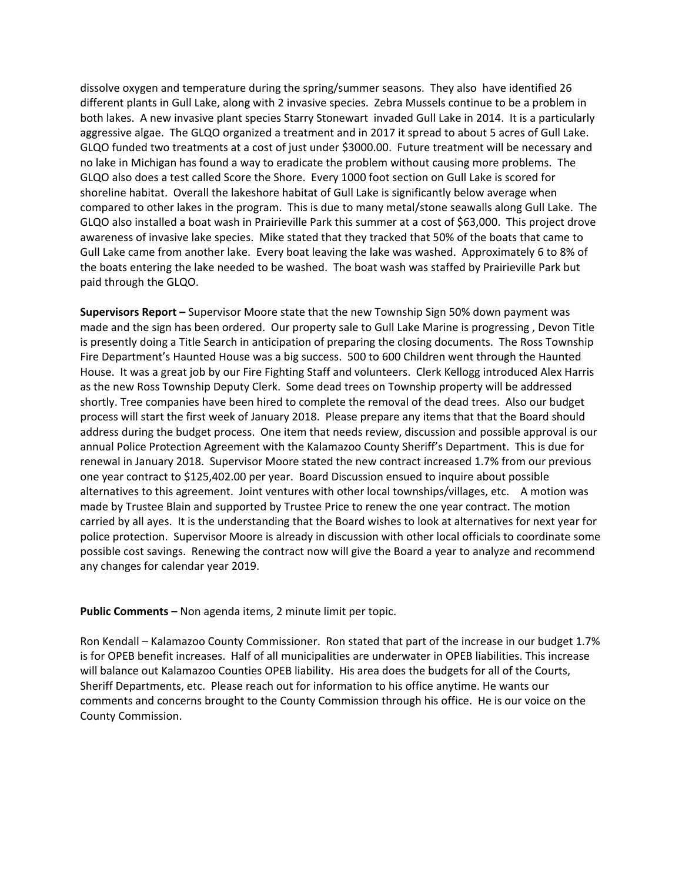dissolve oxygen and temperature during the spring/summer seasons. They also have identified 26 different plants in Gull Lake, along with 2 invasive species. Zebra Mussels continue to be a problem in both lakes. A new invasive plant species Starry Stonewart invaded Gull Lake in 2014. It is a particularly aggressive algae. The GLQO organized a treatment and in 2017 it spread to about 5 acres of Gull Lake. GLQO funded two treatments at a cost of just under \$3000.00. Future treatment will be necessary and no lake in Michigan has found a way to eradicate the problem without causing more problems. The GLQO also does a test called Score the Shore. Every 1000 foot section on Gull Lake is scored for shoreline habitat. Overall the lakeshore habitat of Gull Lake is significantly below average when compared to other lakes in the program. This is due to many metal/stone seawalls along Gull Lake. The GLQO also installed a boat wash in Prairieville Park this summer at a cost of \$63,000. This project drove awareness of invasive lake species. Mike stated that they tracked that 50% of the boats that came to Gull Lake came from another lake. Every boat leaving the lake was washed. Approximately 6 to 8% of the boats entering the lake needed to be washed. The boat wash was staffed by Prairieville Park but paid through the GLQO.

**Supervisors Report –** Supervisor Moore state that the new Township Sign 50% down payment was made and the sign has been ordered. Our property sale to Gull Lake Marine is progressing , Devon Title is presently doing a Title Search in anticipation of preparing the closing documents. The Ross Township Fire Department's Haunted House was a big success. 500 to 600 Children went through the Haunted House. It was a great job by our Fire Fighting Staff and volunteers. Clerk Kellogg introduced Alex Harris as the new Ross Township Deputy Clerk. Some dead trees on Township property will be addressed shortly. Tree companies have been hired to complete the removal of the dead trees. Also our budget process will start the first week of January 2018. Please prepare any items that that the Board should address during the budget process. One item that needs review, discussion and possible approval is our annual Police Protection Agreement with the Kalamazoo County Sheriff's Department. This is due for renewal in January 2018. Supervisor Moore stated the new contract increased 1.7% from our previous one year contract to \$125,402.00 per year. Board Discussion ensued to inquire about possible alternatives to this agreement. Joint ventures with other local townships/villages, etc. A motion was made by Trustee Blain and supported by Trustee Price to renew the one year contract. The motion carried by all ayes. It is the understanding that the Board wishes to look at alternatives for next year for police protection. Supervisor Moore is already in discussion with other local officials to coordinate some possible cost savings. Renewing the contract now will give the Board a year to analyze and recommend any changes for calendar year 2019.

#### **Public Comments –** Non agenda items, 2 minute limit per topic.

Ron Kendall – Kalamazoo County Commissioner. Ron stated that part of the increase in our budget 1.7% is for OPEB benefit increases. Half of all municipalities are underwater in OPEB liabilities. This increase will balance out Kalamazoo Counties OPEB liability. His area does the budgets for all of the Courts, Sheriff Departments, etc. Please reach out for information to his office anytime. He wants our comments and concerns brought to the County Commission through his office. He is our voice on the County Commission.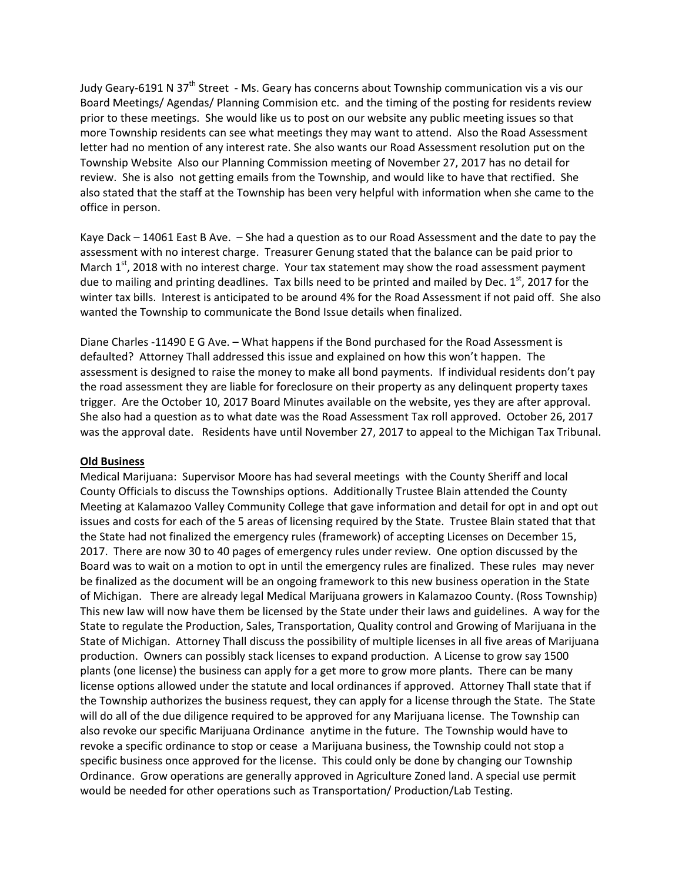Judy Geary-6191 N 37<sup>th</sup> Street - Ms. Geary has concerns about Township communication vis a vis our Board Meetings/ Agendas/ Planning Commision etc. and the timing of the posting for residents review prior to these meetings. She would like us to post on our website any public meeting issues so that more Township residents can see what meetings they may want to attend. Also the Road Assessment letter had no mention of any interest rate. She also wants our Road Assessment resolution put on the Township Website Also our Planning Commission meeting of November 27, 2017 has no detail for review. She is also not getting emails from the Township, and would like to have that rectified. She also stated that the staff at the Township has been very helpful with information when she came to the office in person.

Kaye Dack – 14061 East B Ave. – She had a question as to our Road Assessment and the date to pay the assessment with no interest charge. Treasurer Genung stated that the balance can be paid prior to March  $1^{st}$ , 2018 with no interest charge. Your tax statement may show the road assessment payment due to mailing and printing deadlines. Tax bills need to be printed and mailed by Dec.  $1<sup>st</sup>$ , 2017 for the winter tax bills. Interest is anticipated to be around 4% for the Road Assessment if not paid off. She also wanted the Township to communicate the Bond Issue details when finalized.

Diane Charles ‐11490 E G Ave. – What happens if the Bond purchased for the Road Assessment is defaulted? Attorney Thall addressed this issue and explained on how this won't happen. The assessment is designed to raise the money to make all bond payments. If individual residents don't pay the road assessment they are liable for foreclosure on their property as any delinquent property taxes trigger. Are the October 10, 2017 Board Minutes available on the website, yes they are after approval. She also had a question as to what date was the Road Assessment Tax roll approved. October 26, 2017 was the approval date. Residents have until November 27, 2017 to appeal to the Michigan Tax Tribunal.

#### **Old Business**

Medical Marijuana: Supervisor Moore has had several meetings with the County Sheriff and local County Officials to discuss the Townships options. Additionally Trustee Blain attended the County Meeting at Kalamazoo Valley Community College that gave information and detail for opt in and opt out issues and costs for each of the 5 areas of licensing required by the State. Trustee Blain stated that that the State had not finalized the emergency rules (framework) of accepting Licenses on December 15, 2017. There are now 30 to 40 pages of emergency rules under review. One option discussed by the Board was to wait on a motion to opt in until the emergency rules are finalized. These rules may never be finalized as the document will be an ongoing framework to this new business operation in the State of Michigan. There are already legal Medical Marijuana growers in Kalamazoo County. (Ross Township) This new law will now have them be licensed by the State under their laws and guidelines. A way for the State to regulate the Production, Sales, Transportation, Quality control and Growing of Marijuana in the State of Michigan. Attorney Thall discuss the possibility of multiple licenses in all five areas of Marijuana production. Owners can possibly stack licenses to expand production. A License to grow say 1500 plants (one license) the business can apply for a get more to grow more plants. There can be many license options allowed under the statute and local ordinances if approved. Attorney Thall state that if the Township authorizes the business request, they can apply for a license through the State. The State will do all of the due diligence required to be approved for any Marijuana license. The Township can also revoke our specific Marijuana Ordinance anytime in the future. The Township would have to revoke a specific ordinance to stop or cease a Marijuana business, the Township could not stop a specific business once approved for the license. This could only be done by changing our Township Ordinance. Grow operations are generally approved in Agriculture Zoned land. A special use permit would be needed for other operations such as Transportation/ Production/Lab Testing.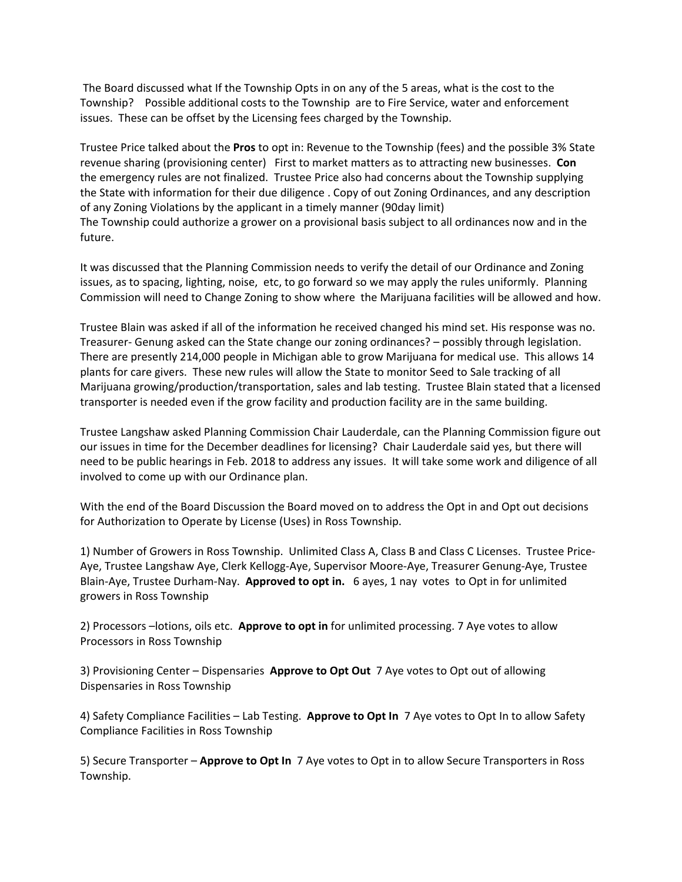The Board discussed what If the Township Opts in on any of the 5 areas, what is the cost to the Township? Possible additional costs to the Township are to Fire Service, water and enforcement issues. These can be offset by the Licensing fees charged by the Township.

Trustee Price talked about the **Pros** to opt in: Revenue to the Township (fees) and the possible 3% State revenue sharing (provisioning center) First to market matters as to attracting new businesses. **Con**  the emergency rules are not finalized. Trustee Price also had concerns about the Township supplying the State with information for their due diligence . Copy of out Zoning Ordinances, and any description of any Zoning Violations by the applicant in a timely manner (90day limit) The Township could authorize a grower on a provisional basis subject to all ordinances now and in the future.

It was discussed that the Planning Commission needs to verify the detail of our Ordinance and Zoning issues, as to spacing, lighting, noise, etc, to go forward so we may apply the rules uniformly. Planning Commission will need to Change Zoning to show where the Marijuana facilities will be allowed and how.

Trustee Blain was asked if all of the information he received changed his mind set. His response was no. Treasurer‐ Genung asked can the State change our zoning ordinances? – possibly through legislation. There are presently 214,000 people in Michigan able to grow Marijuana for medical use. This allows 14 plants for care givers. These new rules will allow the State to monitor Seed to Sale tracking of all Marijuana growing/production/transportation, sales and lab testing. Trustee Blain stated that a licensed transporter is needed even if the grow facility and production facility are in the same building.

Trustee Langshaw asked Planning Commission Chair Lauderdale, can the Planning Commission figure out our issues in time for the December deadlines for licensing? Chair Lauderdale said yes, but there will need to be public hearings in Feb. 2018 to address any issues. It will take some work and diligence of all involved to come up with our Ordinance plan.

With the end of the Board Discussion the Board moved on to address the Opt in and Opt out decisions for Authorization to Operate by License (Uses) in Ross Township.

1) Number of Growers in Ross Township. Unlimited Class A, Class B and Class C Licenses. Trustee Price‐ Aye, Trustee Langshaw Aye, Clerk Kellogg‐Aye, Supervisor Moore‐Aye, Treasurer Genung‐Aye, Trustee Blain‐Aye, Trustee Durham‐Nay. **Approved to opt in.** 6 ayes, 1 nay votes to Opt in for unlimited growers in Ross Township

2) Processors –lotions, oils etc. **Approve to opt in** for unlimited processing. 7 Aye votes to allow Processors in Ross Township

3) Provisioning Center – Dispensaries **Approve to Opt Out** 7 Aye votes to Opt out of allowing Dispensaries in Ross Township

4) Safety Compliance Facilities – Lab Testing. **Approve to Opt In** 7 Aye votes to Opt In to allow Safety Compliance Facilities in Ross Township

5) Secure Transporter – **Approve to Opt In** 7 Aye votes to Opt in to allow Secure Transporters in Ross Township.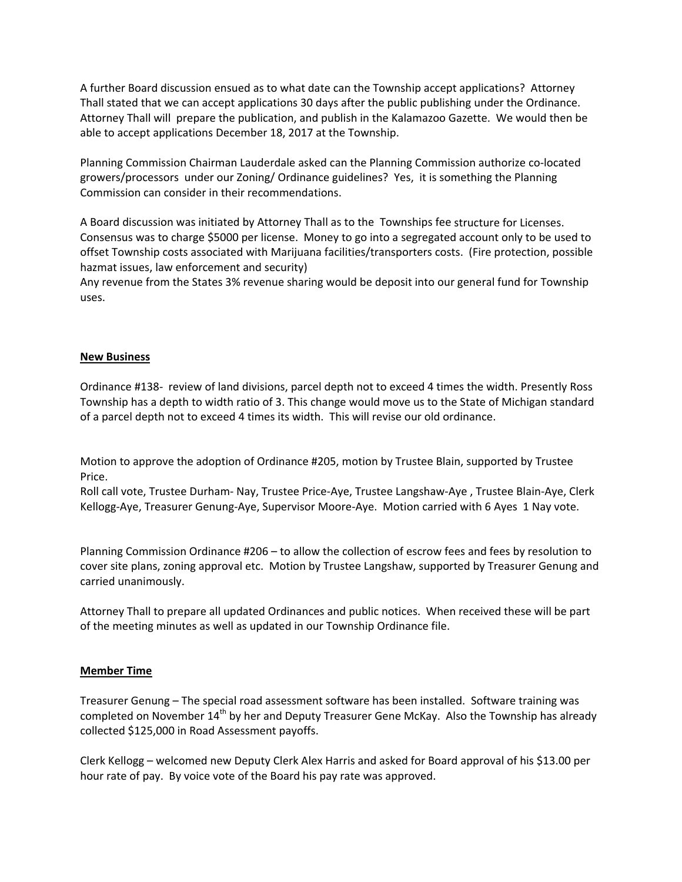A further Board discussion ensued as to what date can the Township accept applications? Attorney Thall stated that we can accept applications 30 days after the public publishing under the Ordinance. Attorney Thall will prepare the publication, and publish in the Kalamazoo Gazette. We would then be able to accept applications December 18, 2017 at the Township.

Planning Commission Chairman Lauderdale asked can the Planning Commission authorize co‐located growers/processors under our Zoning/ Ordinance guidelines? Yes, it is something the Planning Commission can consider in their recommendations.

A Board discussion was initiated by Attorney Thall as to the Townships fee structure for Licenses. Consensus was to charge \$5000 per license. Money to go into a segregated account only to be used to offset Township costs associated with Marijuana facilities/transporters costs. (Fire protection, possible hazmat issues, law enforcement and security)

Any revenue from the States 3% revenue sharing would be deposit into our general fund for Township uses.

#### **New Business**

Ordinance #138‐ review of land divisions, parcel depth not to exceed 4 times the width. Presently Ross Township has a depth to width ratio of 3. This change would move us to the State of Michigan standard of a parcel depth not to exceed 4 times its width. This will revise our old ordinance.

Motion to approve the adoption of Ordinance #205, motion by Trustee Blain, supported by Trustee Price.

Roll call vote, Trustee Durham‐ Nay, Trustee Price‐Aye, Trustee Langshaw‐Aye , Trustee Blain‐Aye, Clerk Kellogg‐Aye, Treasurer Genung‐Aye, Supervisor Moore‐Aye. Motion carried with 6 Ayes 1 Nay vote.

Planning Commission Ordinance #206 – to allow the collection of escrow fees and fees by resolution to cover site plans, zoning approval etc. Motion by Trustee Langshaw, supported by Treasurer Genung and carried unanimously.

Attorney Thall to prepare all updated Ordinances and public notices. When received these will be part of the meeting minutes as well as updated in our Township Ordinance file.

#### **Member Time**

Treasurer Genung – The special road assessment software has been installed. Software training was completed on November 14<sup>th</sup> by her and Deputy Treasurer Gene McKay. Also the Township has already collected \$125,000 in Road Assessment payoffs.

Clerk Kellogg – welcomed new Deputy Clerk Alex Harris and asked for Board approval of his \$13.00 per hour rate of pay. By voice vote of the Board his pay rate was approved.